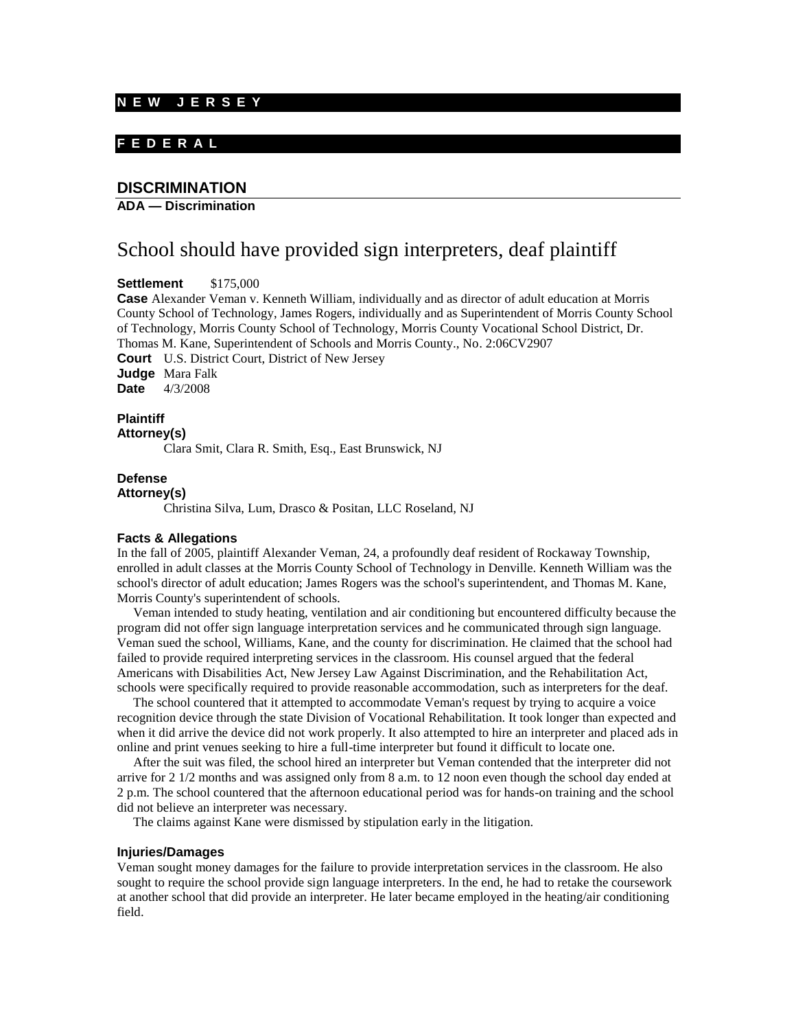### **N E W J E R S E Y**

# **F E D E R A L**

# **DISCRIMINATION**

### **ADA — Discrimination**

# School should have provided sign interpreters, deaf plaintiff

**Settlement** \$175,000

**Case** Alexander Veman v. Kenneth William, individually and as director of adult education at Morris County School of Technology, James Rogers, individually and as Superintendent of Morris County School of Technology, Morris County School of Technology, Morris County Vocational School District, Dr. Thomas M. Kane, Superintendent of Schools and Morris County., No. 2:06CV2907 **Court** U.S. District Court, District of New Jersey **Judge** Mara Falk

**Date** 4/3/2008

# **Plaintiff**

**Attorney(s)**

Clara Smit, Clara R. Smith, Esq., East Brunswick, NJ

### **Defense**

#### **Attorney(s)**

Christina Silva, Lum, Drasco & Positan, LLC Roseland, NJ

#### **Facts & Allegations**

In the fall of 2005, plaintiff Alexander Veman, 24, a profoundly deaf resident of Rockaway Township, enrolled in adult classes at the Morris County School of Technology in Denville. Kenneth William was the school's director of adult education; James Rogers was the school's superintendent, and Thomas M. Kane, Morris County's superintendent of schools.

 Veman intended to study heating, ventilation and air conditioning but encountered difficulty because the program did not offer sign language interpretation services and he communicated through sign language. Veman sued the school, Williams, Kane, and the county for discrimination. He claimed that the school had failed to provide required interpreting services in the classroom. His counsel argued that the federal Americans with Disabilities Act, New Jersey Law Against Discrimination, and the Rehabilitation Act, schools were specifically required to provide reasonable accommodation, such as interpreters for the deaf.

 The school countered that it attempted to accommodate Veman's request by trying to acquire a voice recognition device through the state Division of Vocational Rehabilitation. It took longer than expected and when it did arrive the device did not work properly. It also attempted to hire an interpreter and placed ads in online and print venues seeking to hire a full-time interpreter but found it difficult to locate one.

 After the suit was filed, the school hired an interpreter but Veman contended that the interpreter did not arrive for 2 1/2 months and was assigned only from 8 a.m. to 12 noon even though the school day ended at 2 p.m. The school countered that the afternoon educational period was for hands-on training and the school did not believe an interpreter was necessary.

The claims against Kane were dismissed by stipulation early in the litigation.

#### **Injuries/Damages**

Veman sought money damages for the failure to provide interpretation services in the classroom. He also sought to require the school provide sign language interpreters. In the end, he had to retake the coursework at another school that did provide an interpreter. He later became employed in the heating/air conditioning field.